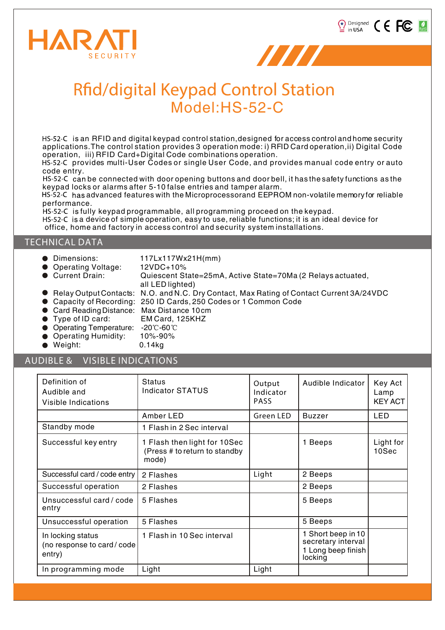



Pesigned CEFC

# **Rfid/digital Keypad Control Station** Model:HS-52-C

HS-52-C is an RFID and digital keypad control station, designed for access control and home security applications. The control station provides 3 operation mode: i) RFID Card operation, ii) Digital Code operation, iii) RFID Card+Digital Code combinations operation.

HS-52-C provides multi-User Codes or single User Code, and provides manual code entry or auto code entry.

HS-52-C can be connected with door opening buttons and door bell, it has the safety functions as the keypad locks or alarms after 5-10 false entries and tamper alarm.

HS-52-C has advanced features with the Microprocessorand EEPROM non-volatile memory for reliable performance.

HS-52-C is fully keypad programmable, all programming proceed on the keypad. HS-52-C is a device of simple operation, easy to use, reliable functions; it is an ideal device for office, home and factory in access control and security system installations.

### **TECHNICAL DATA**

| • Dimensions:<br>• Operating Voltage:<br>Current Drain:                                                                                                   | 117Lx117Wx21H(mm)<br>12VDC+10%<br>Quiescent State=25mA, Active State=70Ma (2 Relays actuated,<br>all LED lighted)                                                                             |
|-----------------------------------------------------------------------------------------------------------------------------------------------------------|-----------------------------------------------------------------------------------------------------------------------------------------------------------------------------------------------|
| • Card Reading Distance: Max Distance 10cm<br>● Type of ID card: EM Card, 125KHZ<br>● Operating Temperature: -20℃-60℃<br>• Operating Humidity:<br>Weight: | ● Relay Output Contacts: N.O. and N.C. Dry Contact, Max Rating of Contact Current 3A/24VDC<br>• Capacity of Recording: 250 ID Cards, 250 Codes or 1 Common Code<br>$10\% - 90\%$<br>$0.14$ kg |

## **AUDIBLE & VISIBLE INDICATIONS**

| Definition of<br>Audible and<br>Visible Indications       | <b>Status</b><br><b>Indicator STATUS</b>                               | Output<br>Indicator<br><b>PASS</b> | Audible Indicator                                                         | Key Act<br>Lamp<br><b>KEY ACT</b> |
|-----------------------------------------------------------|------------------------------------------------------------------------|------------------------------------|---------------------------------------------------------------------------|-----------------------------------|
|                                                           | Amber LED                                                              | Green LED                          | <b>Buzzer</b>                                                             | <b>LED</b>                        |
| Standby mode                                              | 1 Flash in 2 Sec interval                                              |                                    |                                                                           |                                   |
| Successful key entry                                      | 1 Flash then light for 10Sec<br>(Press # to return to standby<br>mode) |                                    | 1 Beeps                                                                   | Light for<br>10Sec                |
| Successful card / code entry                              | 2 Flashes                                                              | Light                              | 2 Beeps                                                                   |                                   |
| Successful operation                                      | 2 Flashes                                                              |                                    | 2 Beeps                                                                   |                                   |
| Unsuccessful card / code<br>entry                         | 5 Flashes                                                              |                                    | 5 Beeps                                                                   |                                   |
| Unsuccessful operation                                    | 5 Flashes                                                              |                                    | 5 Beeps                                                                   |                                   |
| In locking status<br>(no response to card/code)<br>entry) | 1 Flash in 10 Sec interval                                             |                                    | 1 Short beep in 10<br>secretary interval<br>1 Long beep finish<br>locking |                                   |
| In programming mode                                       | Light                                                                  | Light                              |                                                                           |                                   |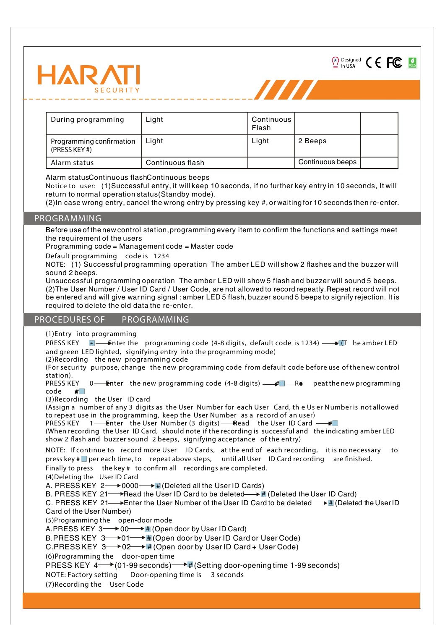

| During programming                        | Light            | Continuous<br>Flash |                  |  |
|-------------------------------------------|------------------|---------------------|------------------|--|
| Programming confirmation<br>(PRESS KEY #) | Light            | Light               | 2 Beeps          |  |
| Alarm status                              | Continuous flash |                     | Continuous beeps |  |

**THE REAL PROPERTY** 

 $\sum_{i=1}^{n}$  Designed  $\zeta \in FC$   $\blacksquare$ 

Alarm statusContinuous flashContinuous beeps

**Notice to user:** (1)Successful entry, it will keep 10 seconds, if no further key entry in 10 seconds, It will return to normal operation status(Standby mode).

(2)In case wrong entry, cancel the wrong entry by pressing key #, or waiting for 10 seconds then re-enter.

#### **PROGRAMMING**

Before use of the new control station,programming every item to confirm the functions and settings meet the requirement of the users

Programming code = Management code = Master code

**Default programming code is 1234**

**NOTE:** (1) Successful programming operation The amber LED will show 2 flashes and the buzzer will sound 2 beeps.

Unsuccessful programming operation The amber LED will show 5 flash and buzzer will sound 5 beeps. (2)The User Number / User ID Card / User Code, are not allowed to record repeatly.Repeat record will not be entered and will give war ning signal : amber LED 5 flash, buzzer sound 5 beeps to signify rejection. It is required to delete the old data the re-enter.

#### **PROCEDURES OF PROGRAMMING**

**(1)Entry into programming**

PRESS KEY  $*$  - Enter the programming code (4-8 digits, default code is 1234)  $**$  he amber LED and green LED lighted, signifying entry into the programming mode)

**(2)Recording the new programming code**

(For security purpose, change the new programming code from default code before use of the new control station).

PRESS KEY  $0$  - Enter the new programming code (4-8 digits)  $\longrightarrow$  Re peat the new programming  $code$   $\longrightarrow$ 

**(3)Recording the User ID card**

(Assign a number of any 3 digits as the User Number for each User Card, th e Us er Number is not allowed to repeat use in the programming, keep the User Number as a record of an user)

PRESS KEY  $1$  - Enter the User Number (3 digits) - Read the User ID Card  $\blacksquare$ 

(When recording the User ID Card, should note if the recording is successful and the indicating amber LED show 2 flash and buzzer sound 2 beeps, signifying acceptance of the entry)

NOTE: If continue to record more User ID Cards, at the end of each recording, it is no necessary to **press key # per each time, to repeat above steps, until all User ID Card recording are nished.**

**Finally to press the key # to conrm all recordings are completed.**

**(4)Deleting the User ID Card**

A. PRESS KEY  $2 \rightarrow 0000 \rightarrow \text{H}$  (Deleted all the User ID Cards)

B. PRESS KEY 21— $\rightarrow$ Read the User ID Card to be deleted  $\rightarrow \mathbb{H}$  (Deleted the User ID Card)

C. PRESS KEY 21— $\rightarrow$  Enter the User Number of the User ID Card to be deleted  $\rightarrow \mathbb{H}$  (Deleted the UserID Card of the User Number)

**(5)Programming the open-door mode**

A.PRESS KEY  $3 \longrightarrow 00 \longrightarrow \mathbb{H}$  (Open door by User ID Card)

B.PRESS KEY 3 → 01 → III (Open door by User ID Card or User Code)

C.PRESS KEY  $3 \rightarrow 02 \rightarrow #$  (Open door by User ID Card + User Code)

**(6)Programming the door-open time**

PRESS KEY  $4 \rightarrow (01-99 \text{ seconds}) \rightarrow #$  (Setting door-opening time 1-99 seconds)

**NOTE: Factory setting Door-opening time is 3 seconds**

**(7)Recording the User Code**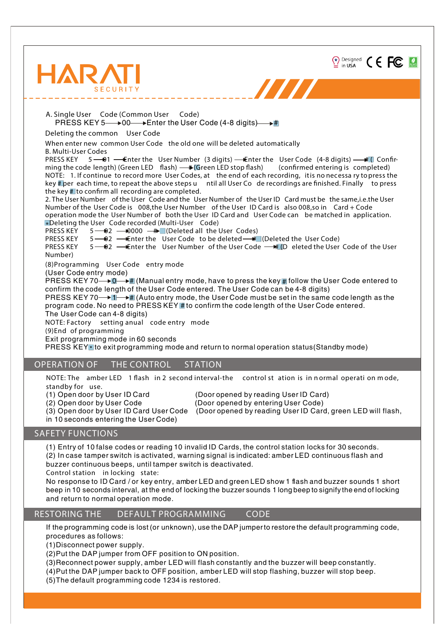| E In USA CE FC<br><b>HARATI</b><br>77777<br>SECURITY                                                                                                                                                                                                                                                                                                                                                                                                                                                                                                                                                                                                                                                                                                                                                                                                                                                                                                                                                                                                                                                                                                                                                                                                                                                                                                                                                                                                                |
|---------------------------------------------------------------------------------------------------------------------------------------------------------------------------------------------------------------------------------------------------------------------------------------------------------------------------------------------------------------------------------------------------------------------------------------------------------------------------------------------------------------------------------------------------------------------------------------------------------------------------------------------------------------------------------------------------------------------------------------------------------------------------------------------------------------------------------------------------------------------------------------------------------------------------------------------------------------------------------------------------------------------------------------------------------------------------------------------------------------------------------------------------------------------------------------------------------------------------------------------------------------------------------------------------------------------------------------------------------------------------------------------------------------------------------------------------------------------|
| A. Single User Code (Common User Code)<br>PRESS KEY 5-→00-→Enter the User Code (4-8 digits)-→#<br>Deleting the common User Code<br>When enter new common User Code the old one will be deleted automatically<br><b>B. Multi-User Codes</b><br>PRESS KEY<br>5 - 01 - Enter the User Number (3 digits) - Enter the User Code (4-8 digits) - # ( Confir-<br>ming the code length) (Green LED flash) $\longrightarrow$ (Green LED stop flash) (confirmed entering is completed)<br>NOTE: 1. If continue to record more User Codes, at the end of each recording, it is no necessa ry to press the<br>key # per each time, to repeat the above steps u ntil all User Co de recordings are finished. Finally to press<br>the key # to confirm all recording are completed.<br>2. The User Number of the User Code and the User Number of the User ID Card must be the same, i.e. the User<br>Number of the User Code is 008, the User Number of the User ID Card is also 008, so in Card + Code<br>operation mode the User Number of both the User ID Card and User Code can be matched in application.<br>*Deleting the User Code recorded (Multi-User Code)<br>$5 - 2$ $- 0000$ $- 1000$ $\rightarrow$ (Deleted all the User Codes)<br>PRESS KEY<br>PRESS KEY<br>5 - 002 - Enter the User Code to be deleted - # (Deleted the User Code)<br>5 - 02 - Enter the User Number of the User Code $\rightarrow$ # (D eleted the User Code of the User<br>PRESS KEY<br>Number) |
| (8) Programming User Code entry mode<br>(User Code entry mode)<br>PRESS KEY 70 $\longrightarrow$ 0 $\longrightarrow$ # (Manual entry mode, have to press the key # follow the User Code entered to<br>confirm the code length of the User Code entered. The User Code can be 4-8 digits)<br>PRESS KEY 70—→1—→ tanglengty mode, the User Code must be set in the same code length as the<br>program code. No need to PRESS KEY # to confirm the code length of the User Code entered.<br>The User Code can 4-8 digits)<br>NOTE: Factory setting anual code entry mode<br>(9) End of programming<br>Exit programming mode in 60 seconds<br>PRESS KEY Lo exit programming mode and return to normal operation status (Standby mode)                                                                                                                                                                                                                                                                                                                                                                                                                                                                                                                                                                                                                                                                                                                                    |
| <b>OPERATION OF</b><br>THE CONTROL<br><b>STATION</b>                                                                                                                                                                                                                                                                                                                                                                                                                                                                                                                                                                                                                                                                                                                                                                                                                                                                                                                                                                                                                                                                                                                                                                                                                                                                                                                                                                                                                |
| NOTE: The amber LED 1 flash in 2 second interval-the control st ation is in normal operati on mode,<br>standby for use.<br>(1) Open door by User ID Card<br>(Door opened by reading User ID Card)<br>(Door opened by entering User Code)<br>(2) Open door by User Code<br>(3) Open door by User ID Card User Code<br>(Door opened by reading User ID Card, green LED will flash,<br>in 10 seconds entering the User Code)                                                                                                                                                                                                                                                                                                                                                                                                                                                                                                                                                                                                                                                                                                                                                                                                                                                                                                                                                                                                                                           |

#### **SAFETY FUNCTIONS**

(1) Entry of 10 false codes or reading 10 invalid ID Cards, the control station locks for 30 seconds. (2) In case tamper switch is activated, warning signal is indicated: amber LED continuous flash and buzzer continuous beeps, until tamper switch is deactivated.

**Control station in locking state:**

No response to ID Card / or key entry, amber LED and green LED show 1 flash and buzzer sounds 1 short beep in 10 seconds interval, at the end of locking the buzzer sounds 1 long beep to signify the end of locking and return to normal operation mode.

## **RESTORING THE DEFAULT PROGRAMMING CODE**

If the programming code is lost (or unknown), use the DAP jumperto restore the default programming code, procedures as follows:

(1)Disconnect power supply.

(2)Put the DAP jumper from OFF position to ON position.

(3)Reconnect power supply, amber LED will flash constantly and the buzzer will beep constantly.

(4)Put the DAP jumper back to OFF position, amber LED will stop flashing, buzzer will stop beep.

(5)The default programming code 1234 is restored.